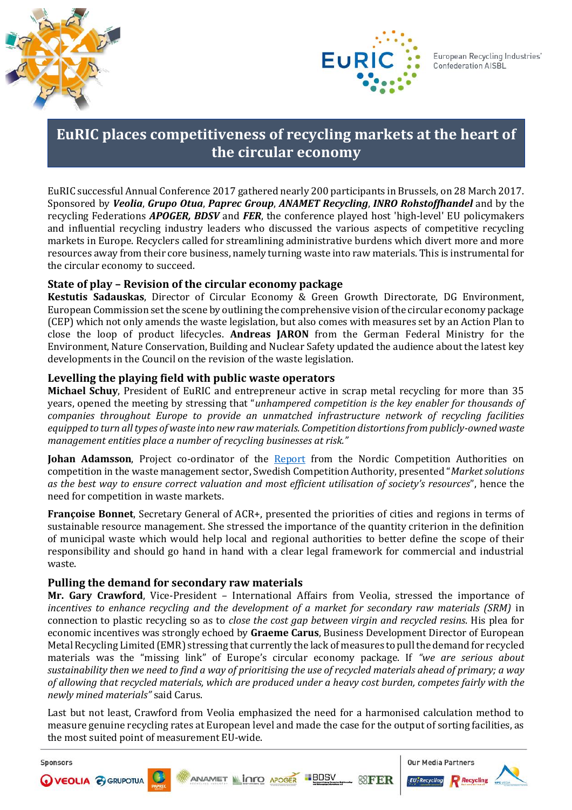

Sponsors



# **EuRIC places competitiveness of recycling markets at the heart of the circular economy**

EuRIC successful Annual Conference 2017 gathered nearly 200 participants in Brussels, on 28 March 2017. Sponsored by *Veolia*, *Grupo Otua*, *Paprec Group*, *ANAMET Recycling*, *INRO Rohstoffhandel* and by the recycling Federations *APOGER, BDSV* and *FER*, the conference played host 'high-level' EU policymakers and influential recycling industry leaders who discussed the various aspects of competitive recycling markets in Europe. Recyclers called for streamlining administrative burdens which divert more and more resources away from their core business, namely turning waste into raw materials. This is instrumental for the circular economy to succeed.

# **State of play – Revision of the circular economy package**

**Kestutis Sadauskas**, Director of Circular Economy & Green Growth Directorate, DG Environment, European Commission set the scene by outlining the comprehensive vision of the circular economy package (CEP) which not only amends the waste legislation, but also comes with measures set by an Action Plan to close the loop of product lifecycles. **Andreas JARON** from the German Federal Ministry for the Environment, Nature Conservation, Building and Nuclear Safety updated the audience about the latest key developments in the Council on the revision of the waste legislation.

# **Levelling the playing field with public waste operators**

**Michael Schuy**, President of EuRIC and entrepreneur active in scrap metal recycling for more than 35 years, opened the meeting by stressing that "*unhampered competition is the key enabler for thousands of companies throughout Europe to provide an unmatched infrastructure network of recycling facilities equipped to turn all types of waste into new raw materials. Competition distortions from publicly-owned waste management entities place a number of recycling businesses at risk."* 

**Johan Adamsson**, Project co-ordinator of the [Report](https://www.kkv.fi/globalassets/kkv-suomi/julkaisut/pm-yhteisraportit/nordic-report-2016-waste-management-sector.pdf) from the Nordic Competition Authorities on competition in the waste management sector, Swedish Competition Authority, presented "*Market solutions as the best way to ensure correct valuation and most efficient utilisation of society's resources*", hence the need for competition in waste markets.

**Françoise Bonnet**, Secretary General of ACR+, presented the priorities of cities and regions in terms of sustainable resource management. She stressed the importance of the quantity criterion in the definition of municipal waste which would help local and regional authorities to better define the scope of their responsibility and should go hand in hand with a clear legal framework for commercial and industrial waste.

### **Pulling the demand for secondary raw materials**

**Mr. Gary Crawford**, Vice-President – International Affairs from Veolia, stressed the importance of incentives to enhance recycling and the development of a market for secondary raw materials (SRM) in connection to plastic recycling so as to *close the cost gap between virgin and recycled resins*. His plea for economic incentives was strongly echoed by **Graeme Carus**, Business Development Director of European Metal Recycling Limited (EMR) stressing that currently the lack of measures to pull the demand for recycled materials was the "missing link" of Europe's circular economy package. If *"we are serious about sustainability then we need to find a way of prioritising the use of recycled materials ahead of primary; a way of allowing that recycled materials, which are produced under a heavy cost burden, competes fairly with the newly mined materials"* said Carus.

Last but not least, Crawford from Veolia emphasized the need for a harmonised calculation method to measure genuine recycling rates at European level and made the case for the output of sorting facilities, as the most suited point of measurement EU-wide.

**Our Media Partners BDSV WEOLIA @ GRUPOTUA ANAMET INTO APOGER @FER**